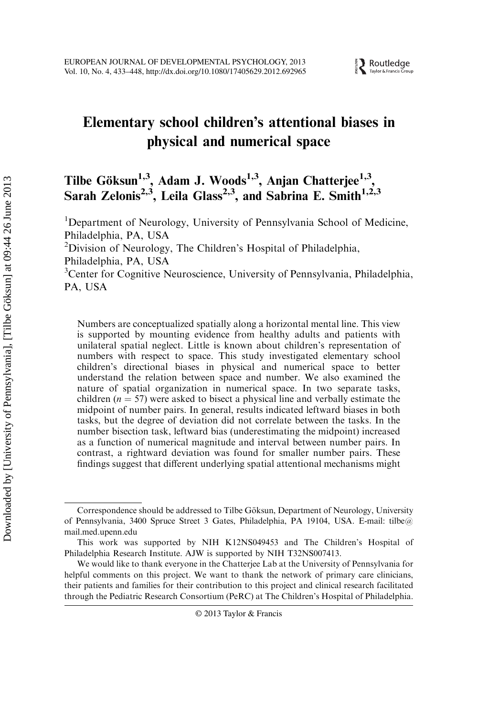# Elementary school children's attentional biases in physical and numerical space

# Tilbe Göksun<sup>1,3</sup>, Adam J. Woods<sup>1,3</sup>, Anjan Chatterjee<sup>1,3</sup>, Sarah Zelonis<sup>2,3</sup>, Leila Glass<sup>2,3</sup>, and Sabrina E. Smith<sup>1,2,3</sup>

<sup>1</sup>Department of Neurology, University of Pennsylvania School of Medicine, Philadelphia, PA, USA

<sup>2</sup>Division of Neurology, The Children's Hospital of Philadelphia,

Philadelphia, PA, USA

<sup>3</sup>Center for Cognitive Neuroscience, University of Pennsylvania, Philadelphia, PA, USA

Numbers are conceptualized spatially along a horizontal mental line. This view is supported by mounting evidence from healthy adults and patients with unilateral spatial neglect. Little is known about children's representation of numbers with respect to space. This study investigated elementary school children's directional biases in physical and numerical space to better understand the relation between space and number. We also examined the nature of spatial organization in numerical space. In two separate tasks, children ( $n = 57$ ) were asked to bisect a physical line and verbally estimate the midpoint of number pairs. In general, results indicated leftward biases in both tasks, but the degree of deviation did not correlate between the tasks. In the number bisection task, leftward bias (underestimating the midpoint) increased as a function of numerical magnitude and interval between number pairs. In contrast, a rightward deviation was found for smaller number pairs. These findings suggest that different underlying spatial attentional mechanisms might

Correspondence should be addressed to Tilbe Göksun, Department of Neurology, University of Pennsylvania, 3400 Spruce Street 3 Gates, Philadelphia, PA 19104, USA. E-mail: tilbe@ mail.med.upenn.edu

This work was supported by NIH K12NS049453 and The Children's Hospital of Philadelphia Research Institute. AJW is supported by NIH T32NS007413.

We would like to thank everyone in the Chatterjee Lab at the University of Pennsylvania for helpful comments on this project. We want to thank the network of primary care clinicians, their patients and families for their contribution to this project and clinical research facilitated through the Pediatric Research Consortium (PeRC) at The Children's Hospital of Philadelphia.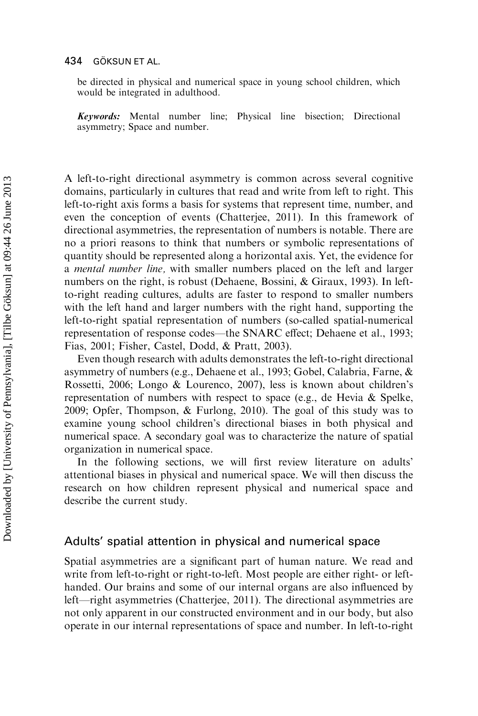#### 434 GÖKSUN ET AL.

be directed in physical and numerical space in young school children, which would be integrated in adulthood.

Keywords: Mental number line; Physical line bisection; Directional asymmetry; Space and number.

A left-to-right directional asymmetry is common across several cognitive domains, particularly in cultures that read and write from left to right. This left-to-right axis forms a basis for systems that represent time, number, and even the conception of events (Chatterjee, 2011). In this framework of directional asymmetries, the representation of numbers is notable. There are no a priori reasons to think that numbers or symbolic representations of quantity should be represented along a horizontal axis. Yet, the evidence for a mental number line, with smaller numbers placed on the left and larger numbers on the right, is robust (Dehaene, Bossini, & Giraux, 1993). In leftto-right reading cultures, adults are faster to respond to smaller numbers with the left hand and larger numbers with the right hand, supporting the left-to-right spatial representation of numbers (so-called spatial-numerical representation of response codes—the SNARC effect; Dehaene et al., 1993; Fias, 2001; Fisher, Castel, Dodd, & Pratt, 2003).

Even though research with adults demonstrates the left-to-right directional asymmetry of numbers (e.g., Dehaene et al., 1993; Gobel, Calabria, Farne, & Rossetti, 2006; Longo & Lourenco, 2007), less is known about children's representation of numbers with respect to space (e.g., de Hevia & Spelke, 2009; Opfer, Thompson, & Furlong, 2010). The goal of this study was to examine young school children's directional biases in both physical and numerical space. A secondary goal was to characterize the nature of spatial organization in numerical space.

In the following sections, we will first review literature on adults' attentional biases in physical and numerical space. We will then discuss the research on how children represent physical and numerical space and describe the current study.

# Adults' spatial attention in physical and numerical space

Spatial asymmetries are a significant part of human nature. We read and write from left-to-right or right-to-left. Most people are either right- or lefthanded. Our brains and some of our internal organs are also influenced by left—right asymmetries (Chatterjee, 2011). The directional asymmetries are not only apparent in our constructed environment and in our body, but also operate in our internal representations of space and number. In left-to-right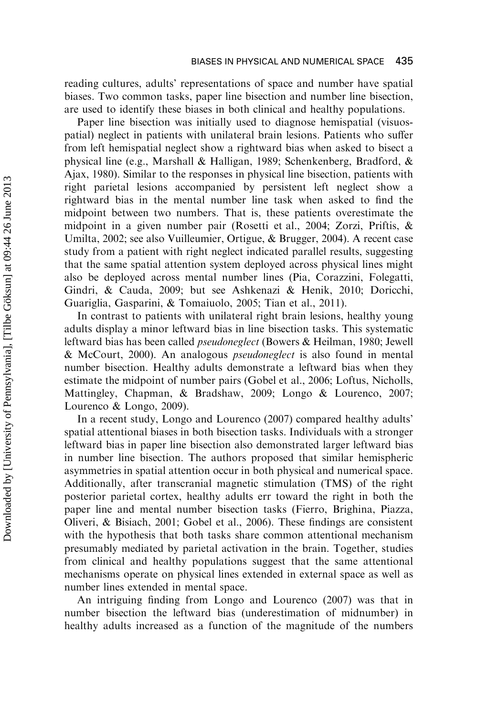reading cultures, adults' representations of space and number have spatial biases. Two common tasks, paper line bisection and number line bisection, are used to identify these biases in both clinical and healthy populations.

Paper line bisection was initially used to diagnose hemispatial (visuospatial) neglect in patients with unilateral brain lesions. Patients who suffer from left hemispatial neglect show a rightward bias when asked to bisect a physical line (e.g., Marshall & Halligan, 1989; Schenkenberg, Bradford, & Ajax, 1980). Similar to the responses in physical line bisection, patients with right parietal lesions accompanied by persistent left neglect show a rightward bias in the mental number line task when asked to find the midpoint between two numbers. That is, these patients overestimate the midpoint in a given number pair (Rosetti et al., 2004; Zorzi, Priftis, & Umilta, 2002; see also Vuilleumier, Ortigue, & Brugger, 2004). A recent case study from a patient with right neglect indicated parallel results, suggesting that the same spatial attention system deployed across physical lines might also be deployed across mental number lines (Pia, Corazzini, Folegatti, Gindri, & Cauda, 2009; but see Ashkenazi & Henik, 2010; Doricchi, Guariglia, Gasparini, & Tomaiuolo, 2005; Tian et al., 2011).

In contrast to patients with unilateral right brain lesions, healthy young adults display a minor leftward bias in line bisection tasks. This systematic leftward bias has been called pseudoneglect (Bowers & Heilman, 1980; Jewell & McCourt, 2000). An analogous *pseudoneglect* is also found in mental number bisection. Healthy adults demonstrate a leftward bias when they estimate the midpoint of number pairs (Gobel et al., 2006; Loftus, Nicholls, Mattingley, Chapman, & Bradshaw, 2009; Longo & Lourenco, 2007; Lourenco & Longo, 2009).

In a recent study, Longo and Lourenco (2007) compared healthy adults' spatial attentional biases in both bisection tasks. Individuals with a stronger leftward bias in paper line bisection also demonstrated larger leftward bias in number line bisection. The authors proposed that similar hemispheric asymmetries in spatial attention occur in both physical and numerical space. Additionally, after transcranial magnetic stimulation (TMS) of the right posterior parietal cortex, healthy adults err toward the right in both the paper line and mental number bisection tasks (Fierro, Brighina, Piazza, Oliveri, & Bisiach, 2001; Gobel et al., 2006). These findings are consistent with the hypothesis that both tasks share common attentional mechanism presumably mediated by parietal activation in the brain. Together, studies from clinical and healthy populations suggest that the same attentional mechanisms operate on physical lines extended in external space as well as number lines extended in mental space.

An intriguing finding from Longo and Lourenco (2007) was that in number bisection the leftward bias (underestimation of midnumber) in healthy adults increased as a function of the magnitude of the numbers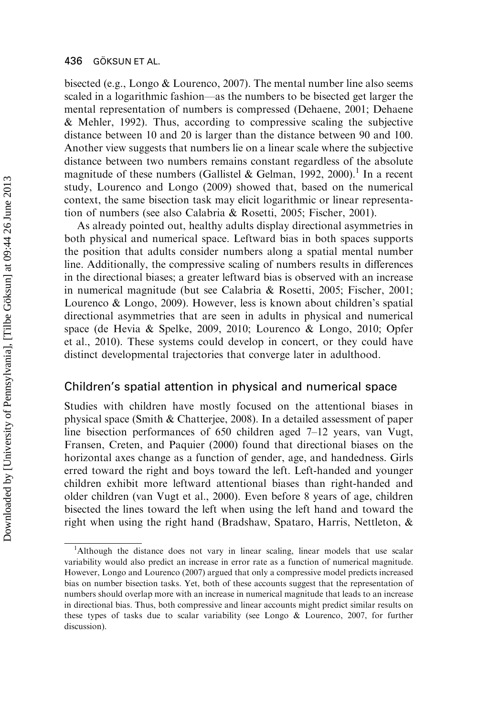bisected (e.g., Longo & Lourenco, 2007). The mental number line also seems scaled in a logarithmic fashion—as the numbers to be bisected get larger the mental representation of numbers is compressed (Dehaene, 2001; Dehaene & Mehler, 1992). Thus, according to compressive scaling the subjective distance between 10 and 20 is larger than the distance between 90 and 100. Another view suggests that numbers lie on a linear scale where the subjective distance between two numbers remains constant regardless of the absolute magnitude of these numbers (Gallistel & Gelman, 1992, 2000).<sup>1</sup> In a recent study, Lourenco and Longo (2009) showed that, based on the numerical context, the same bisection task may elicit logarithmic or linear representation of numbers (see also Calabria & Rosetti, 2005; Fischer, 2001).

As already pointed out, healthy adults display directional asymmetries in both physical and numerical space. Leftward bias in both spaces supports the position that adults consider numbers along a spatial mental number line. Additionally, the compressive scaling of numbers results in differences in the directional biases; a greater leftward bias is observed with an increase in numerical magnitude (but see Calabria & Rosetti, 2005; Fischer, 2001; Lourenco & Longo, 2009). However, less is known about children's spatial directional asymmetries that are seen in adults in physical and numerical space (de Hevia & Spelke, 2009, 2010; Lourenco & Longo, 2010; Opfer et al., 2010). These systems could develop in concert, or they could have distinct developmental trajectories that converge later in adulthood.

#### Children's spatial attention in physical and numerical space

Studies with children have mostly focused on the attentional biases in physical space (Smith & Chatterjee, 2008). In a detailed assessment of paper line bisection performances of 650 children aged 7–12 years, van Vugt, Fransen, Creten, and Paquier (2000) found that directional biases on the horizontal axes change as a function of gender, age, and handedness. Girls erred toward the right and boys toward the left. Left-handed and younger children exhibit more leftward attentional biases than right-handed and older children (van Vugt et al., 2000). Even before 8 years of age, children bisected the lines toward the left when using the left hand and toward the right when using the right hand (Bradshaw, Spataro, Harris, Nettleton, &

<sup>&</sup>lt;sup>1</sup>Although the distance does not vary in linear scaling, linear models that use scalar variability would also predict an increase in error rate as a function of numerical magnitude. However, Longo and Lourenco (2007) argued that only a compressive model predicts increased bias on number bisection tasks. Yet, both of these accounts suggest that the representation of numbers should overlap more with an increase in numerical magnitude that leads to an increase in directional bias. Thus, both compressive and linear accounts might predict similar results on these types of tasks due to scalar variability (see Longo & Lourenco, 2007, for further discussion).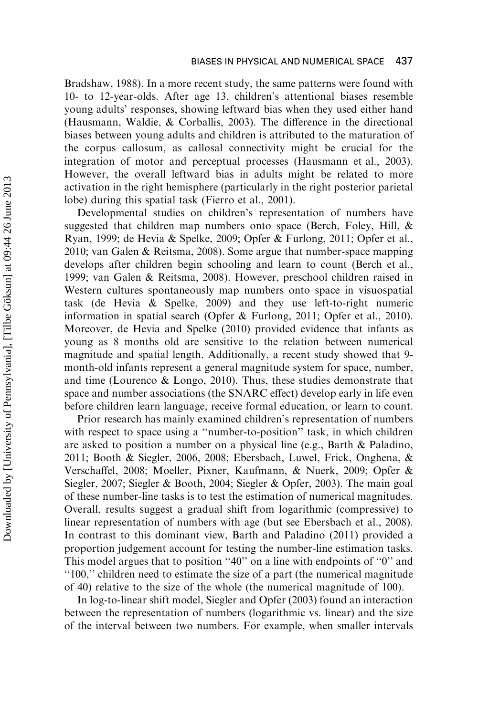Bradshaw, 1988). In a more recent study, the same patterns were found with 10- to 12-year-olds. After age 13, children's attentional biases resemble young adults' responses, showing leftward bias when they used either hand (Hausmann, Waldie, & Corballis, 2003). The difference in the directional biases between young adults and children is attributed to the maturation of the corpus callosum, as callosal connectivity might be crucial for the integration of motor and perceptual processes (Hausmann et al., 2003). However, the overall leftward bias in adults might be related to more activation in the right hemisphere (particularly in the right posterior parietal lobe) during this spatial task (Fierro et al., 2001).

Developmental studies on children's representation of numbers have suggested that children map numbers onto space (Berch, Foley, Hill, & Ryan, 1999; de Hevia & Spelke, 2009; Opfer & Furlong, 2011; Opfer et al., 2010; van Galen & Reitsma, 2008). Some argue that number-space mapping develops after children begin schooling and learn to count (Berch et al., 1999; van Galen & Reitsma, 2008). However, preschool children raised in Western cultures spontaneously map numbers onto space in visuospatial task (de Hevia & Spelke, 2009) and they use left-to-right numeric information in spatial search (Opfer & Furlong, 2011; Opfer et al., 2010). Moreover, de Hevia and Spelke (2010) provided evidence that infants as young as 8 months old are sensitive to the relation between numerical magnitude and spatial length. Additionally, a recent study showed that 9 month-old infants represent a general magnitude system for space, number, and time (Lourenco & Longo, 2010). Thus, these studies demonstrate that space and number associations (the SNARC effect) develop early in life even before children learn language, receive formal education, or learn to count.

Prior research has mainly examined children's representation of numbers with respect to space using a ''number-to-position'' task, in which children are asked to position a number on a physical line (e.g., Barth & Paladino, 2011; Booth & Siegler, 2006, 2008; Ebersbach, Luwel, Frick, Onghena, & Verschaffel, 2008; Moeller, Pixner, Kaufmann, & Nuerk, 2009; Opfer & Siegler, 2007; Siegler & Booth, 2004; Siegler & Opfer, 2003). The main goal of these number-line tasks is to test the estimation of numerical magnitudes. Overall, results suggest a gradual shift from logarithmic (compressive) to linear representation of numbers with age (but see Ebersbach et al., 2008). In contrast to this dominant view, Barth and Paladino (2011) provided a proportion judgement account for testing the number-line estimation tasks. This model argues that to position "40" on a line with endpoints of "0" and ''100,'' children need to estimate the size of a part (the numerical magnitude of 40) relative to the size of the whole (the numerical magnitude of 100).

In log-to-linear shift model, Siegler and Opfer (2003) found an interaction between the representation of numbers (logarithmic vs. linear) and the size of the interval between two numbers. For example, when smaller intervals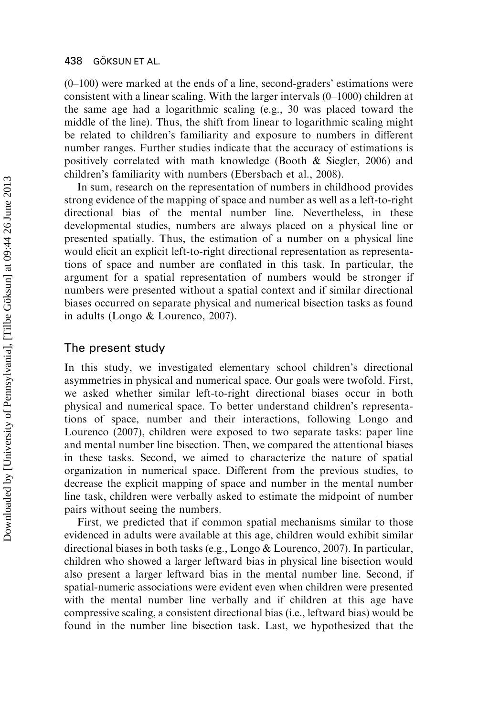$(0-100)$  were marked at the ends of a line, second-graders' estimations were consistent with a linear scaling. With the larger intervals (0–1000) children at the same age had a logarithmic scaling (e.g., 30 was placed toward the middle of the line). Thus, the shift from linear to logarithmic scaling might be related to children's familiarity and exposure to numbers in different number ranges. Further studies indicate that the accuracy of estimations is positively correlated with math knowledge (Booth & Siegler, 2006) and children's familiarity with numbers (Ebersbach et al., 2008).

In sum, research on the representation of numbers in childhood provides strong evidence of the mapping of space and number as well as a left-to-right directional bias of the mental number line. Nevertheless, in these developmental studies, numbers are always placed on a physical line or presented spatially. Thus, the estimation of a number on a physical line would elicit an explicit left-to-right directional representation as representations of space and number are conflated in this task. In particular, the argument for a spatial representation of numbers would be stronger if numbers were presented without a spatial context and if similar directional biases occurred on separate physical and numerical bisection tasks as found in adults (Longo & Lourenco, 2007).

#### The present study

In this study, we investigated elementary school children's directional asymmetries in physical and numerical space. Our goals were twofold. First, we asked whether similar left-to-right directional biases occur in both physical and numerical space. To better understand children's representations of space, number and their interactions, following Longo and Lourenco (2007), children were exposed to two separate tasks: paper line and mental number line bisection. Then, we compared the attentional biases in these tasks. Second, we aimed to characterize the nature of spatial organization in numerical space. Different from the previous studies, to decrease the explicit mapping of space and number in the mental number line task, children were verbally asked to estimate the midpoint of number pairs without seeing the numbers.

First, we predicted that if common spatial mechanisms similar to those evidenced in adults were available at this age, children would exhibit similar directional biases in both tasks (e.g., Longo & Lourenco, 2007). In particular, children who showed a larger leftward bias in physical line bisection would also present a larger leftward bias in the mental number line. Second, if spatial-numeric associations were evident even when children were presented with the mental number line verbally and if children at this age have compressive scaling, a consistent directional bias (i.e., leftward bias) would be found in the number line bisection task. Last, we hypothesized that the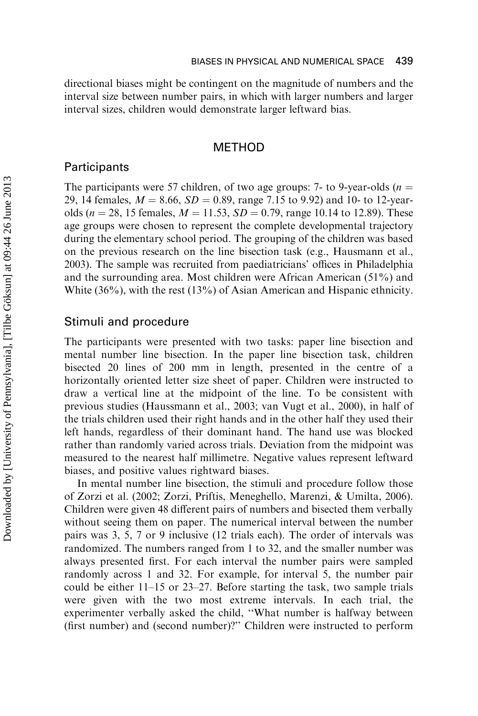directional biases might be contingent on the magnitude of numbers and the interval size between number pairs, in which with larger numbers and larger interval sizes, children would demonstrate larger leftward bias.

### METHOD

#### **Participants**

The participants were 57 children, of two age groups: 7- to 9-year-olds ( $n =$ 29, 14 females,  $M = 8.66$ ,  $SD = 0.89$ , range 7.15 to 9.92) and 10- to 12-yearolds ( $n = 28$ , 15 females,  $M = 11.53$ ,  $SD = 0.79$ , range 10.14 to 12.89). These age groups were chosen to represent the complete developmental trajectory during the elementary school period. The grouping of the children was based on the previous research on the line bisection task (e.g., Hausmann et al., 2003). The sample was recruited from paediatricians' offices in Philadelphia and the surrounding area. Most children were African American (51%) and White (36%), with the rest (13%) of Asian American and Hispanic ethnicity.

#### Stimuli and procedure

The participants were presented with two tasks: paper line bisection and mental number line bisection. In the paper line bisection task, children bisected 20 lines of 200 mm in length, presented in the centre of a horizontally oriented letter size sheet of paper. Children were instructed to draw a vertical line at the midpoint of the line. To be consistent with previous studies (Haussmann et al., 2003; van Vugt et al., 2000), in half of the trials children used their right hands and in the other half they used their left hands, regardless of their dominant hand. The hand use was blocked rather than randomly varied across trials. Deviation from the midpoint was measured to the nearest half millimetre. Negative values represent leftward biases, and positive values rightward biases.

In mental number line bisection, the stimuli and procedure follow those of Zorzi et al. (2002; Zorzi, Priftis, Meneghello, Marenzi, & Umilta, 2006). Children were given 48 different pairs of numbers and bisected them verbally without seeing them on paper. The numerical interval between the number pairs was 3, 5, 7 or 9 inclusive (12 trials each). The order of intervals was randomized. The numbers ranged from 1 to 32, and the smaller number was always presented first. For each interval the number pairs were sampled randomly across 1 and 32. For example, for interval 5, the number pair could be either 11–15 or 23–27. Before starting the task, two sample trials were given with the two most extreme intervals. In each trial, the experimenter verbally asked the child, ''What number is halfway between (first number) and (second number)?'' Children were instructed to perform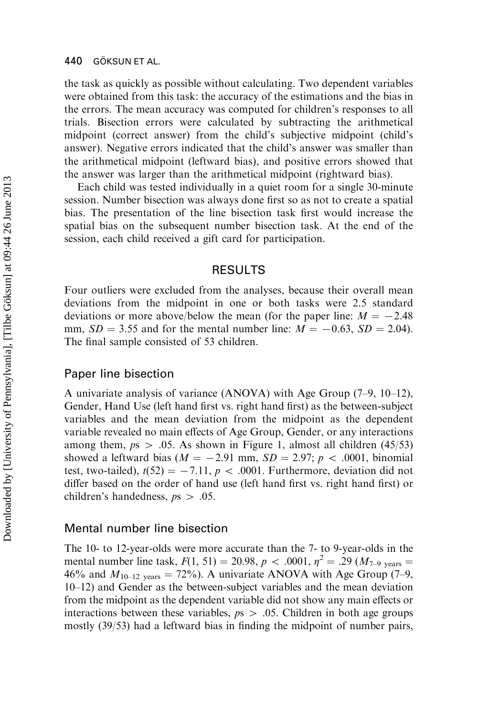the task as quickly as possible without calculating. Two dependent variables were obtained from this task: the accuracy of the estimations and the bias in the errors. The mean accuracy was computed for children's responses to all trials. Bisection errors were calculated by subtracting the arithmetical midpoint (correct answer) from the child's subjective midpoint (child's answer). Negative errors indicated that the child's answer was smaller than the arithmetical midpoint (leftward bias), and positive errors showed that the answer was larger than the arithmetical midpoint (rightward bias).

Each child was tested individually in a quiet room for a single 30-minute session. Number bisection was always done first so as not to create a spatial bias. The presentation of the line bisection task first would increase the spatial bias on the subsequent number bisection task. At the end of the session, each child received a gift card for participation.

#### RESULTS

Four outliers were excluded from the analyses, because their overall mean deviations from the midpoint in one or both tasks were 2.5 standard deviations or more above/below the mean (for the paper line:  $M = -2.48$ ) mm,  $SD = 3.55$  and for the mental number line:  $M = -0.63$ ,  $SD = 2.04$ ). The final sample consisted of 53 children.

#### Paper line bisection

A univariate analysis of variance (ANOVA) with Age Group (7–9, 10–12), Gender, Hand Use (left hand first vs. right hand first) as the between-subject variables and the mean deviation from the midpoint as the dependent variable revealed no main effects of Age Group, Gender, or any interactions among them,  $ps > .05$ . As shown in Figure 1, almost all children (45/53) showed a leftward bias ( $M = -2.91$  mm,  $SD = 2.97$ ;  $p < .0001$ , binomial test, two-tailed),  $t(52) = -7.11$ ,  $p < .0001$ . Furthermore, deviation did not differ based on the order of hand use (left hand first vs. right hand first) or children's handedness,  $ps > .05$ .

#### Mental number line bisection

The 10- to 12-year-olds were more accurate than the 7- to 9-year-olds in the mental number line task,  $F(1, 51) = 20.98$ ,  $p < .0001$ ,  $\eta^2 = .29$  ( $M_{7-9 \text{ years}} =$ 46% and  $M_{10-12 \text{ years}} = 72\%$ ). A univariate ANOVA with Age Group (7–9, 10–12) and Gender as the between-subject variables and the mean deviation from the midpoint as the dependent variable did not show any main effects or interactions between these variables,  $p_s > .05$ . Children in both age groups mostly (39/53) had a leftward bias in finding the midpoint of number pairs,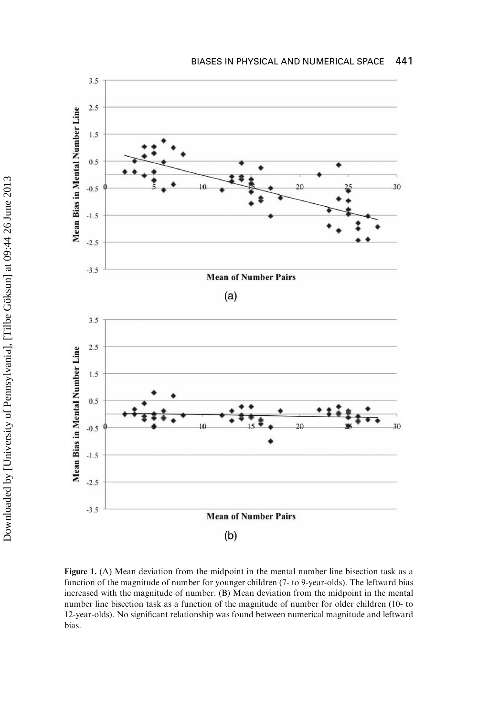

BIASES IN PHYSICAL AND NUMERICAL SPACE 441

Figure 1. (A) Mean deviation from the midpoint in the mental number line bisection task as a function of the magnitude of number for younger children (7- to 9-year-olds). The leftward bias increased with the magnitude of number. (B) Mean deviation from the midpoint in the mental number line bisection task as a function of the magnitude of number for older children (10- to 12-year-olds). No significant relationship was found between numerical magnitude and leftward bias.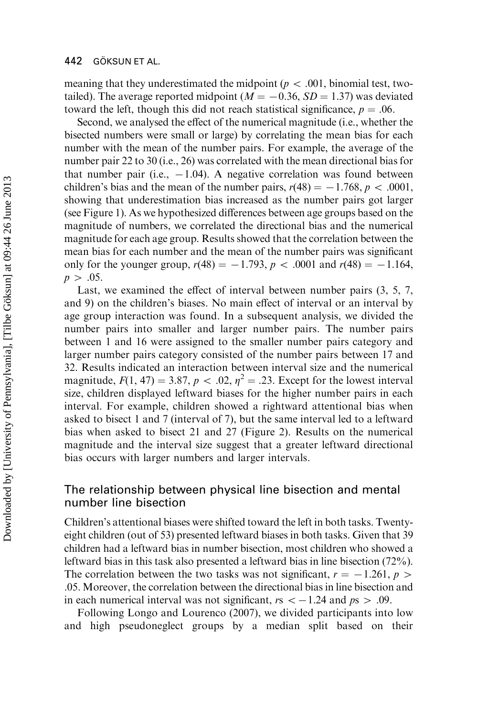meaning that they underestimated the midpoint ( $p < .001$ , binomial test, twotailed). The average reported midpoint ( $M = -0.36$ ,  $SD = 1.37$ ) was deviated toward the left, though this did not reach statistical significance,  $p = .06$ .

Second, we analysed the effect of the numerical magnitude (i.e., whether the bisected numbers were small or large) by correlating the mean bias for each number with the mean of the number pairs. For example, the average of the number pair 22 to 30 (i.e., 26) was correlated with the mean directional bias for that number pair (i.e.,  $-1.04$ ). A negative correlation was found between children's bias and the mean of the number pairs,  $r(48) = -1.768$ ,  $p < .0001$ , showing that underestimation bias increased as the number pairs got larger (see Figure 1). As we hypothesized differences between age groups based on the magnitude of numbers, we correlated the directional bias and the numerical magnitude for each age group. Results showed that the correlation between the mean bias for each number and the mean of the number pairs was significant only for the younger group,  $r(48) = -1.793$ ,  $p < .0001$  and  $r(48) = -1.164$ ,  $p > .05$ .

Last, we examined the effect of interval between number pairs (3, 5, 7, and 9) on the children's biases. No main effect of interval or an interval by age group interaction was found. In a subsequent analysis, we divided the number pairs into smaller and larger number pairs. The number pairs between 1 and 16 were assigned to the smaller number pairs category and larger number pairs category consisted of the number pairs between 17 and 32. Results indicated an interaction between interval size and the numerical magnitude,  $F(1, 47) = 3.87$ ,  $p < .02$ ,  $\eta^2 = .23$ . Except for the lowest interval size, children displayed leftward biases for the higher number pairs in each interval. For example, children showed a rightward attentional bias when asked to bisect 1 and 7 (interval of 7), but the same interval led to a leftward bias when asked to bisect 21 and 27 (Figure 2). Results on the numerical magnitude and the interval size suggest that a greater leftward directional bias occurs with larger numbers and larger intervals.

# The relationship between physical line bisection and mental number line bisection

Children's attentional biases were shifted toward the left in both tasks. Twentyeight children (out of 53) presented leftward biases in both tasks. Given that 39 children had a leftward bias in number bisection, most children who showed a leftward bias in this task also presented a leftward bias in line bisection (72%). The correlation between the two tasks was not significant,  $r = -1.261$ ,  $p >$ .05. Moreover, the correlation between the directional bias in line bisection and in each numerical interval was not significant,  $rs < -1.24$  and  $ps > .09$ .

Following Longo and Lourenco (2007), we divided participants into low and high pseudoneglect groups by a median split based on their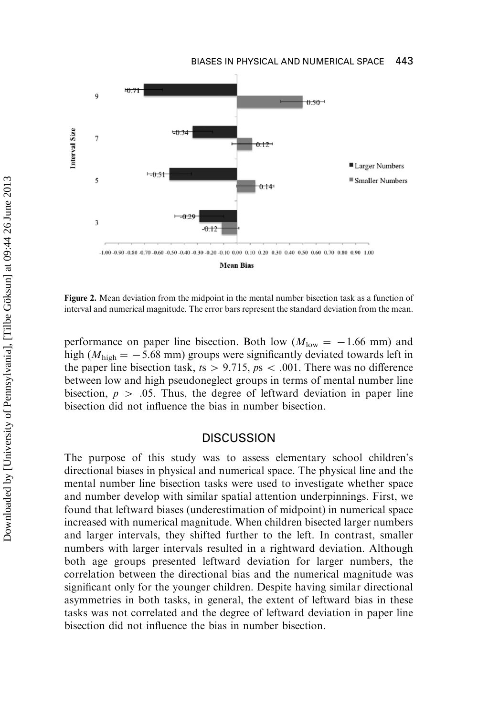

Figure 2. Mean deviation from the midpoint in the mental number bisection task as a function of interval and numerical magnitude. The error bars represent the standard deviation from the mean.

performance on paper line bisection. Both low ( $M_{\text{low}} = -1.66$  mm) and high ( $M_{\text{high}} = -5.68$  mm) groups were significantly deviated towards left in the paper line bisection task,  $ts > 9.715$ ,  $ps < .001$ . There was no difference between low and high pseudoneglect groups in terms of mental number line bisection,  $p > .05$ . Thus, the degree of leftward deviation in paper line bisection did not influence the bias in number bisection.

# **DISCUSSION**

The purpose of this study was to assess elementary school children's directional biases in physical and numerical space. The physical line and the mental number line bisection tasks were used to investigate whether space and number develop with similar spatial attention underpinnings. First, we found that leftward biases (underestimation of midpoint) in numerical space increased with numerical magnitude. When children bisected larger numbers and larger intervals, they shifted further to the left. In contrast, smaller numbers with larger intervals resulted in a rightward deviation. Although both age groups presented leftward deviation for larger numbers, the correlation between the directional bias and the numerical magnitude was significant only for the younger children. Despite having similar directional asymmetries in both tasks, in general, the extent of leftward bias in these tasks was not correlated and the degree of leftward deviation in paper line bisection did not influence the bias in number bisection.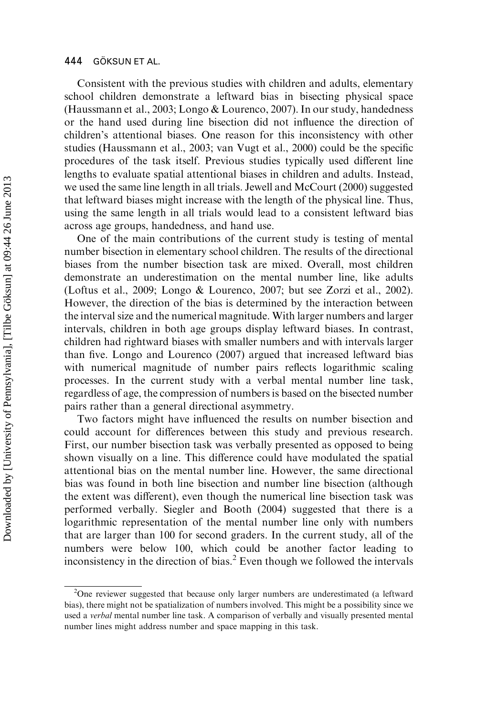#### 444 GÖKSUN ET AL.

Consistent with the previous studies with children and adults, elementary school children demonstrate a leftward bias in bisecting physical space (Haussmann et al., 2003; Longo & Lourenco, 2007). In our study, handedness or the hand used during line bisection did not influence the direction of children's attentional biases. One reason for this inconsistency with other studies (Haussmann et al., 2003; van Vugt et al., 2000) could be the specific procedures of the task itself. Previous studies typically used different line lengths to evaluate spatial attentional biases in children and adults. Instead, we used the same line length in all trials. Jewell and McCourt (2000) suggested that leftward biases might increase with the length of the physical line. Thus, using the same length in all trials would lead to a consistent leftward bias across age groups, handedness, and hand use.

One of the main contributions of the current study is testing of mental number bisection in elementary school children. The results of the directional biases from the number bisection task are mixed. Overall, most children demonstrate an underestimation on the mental number line, like adults (Loftus et al., 2009; Longo & Lourenco, 2007; but see Zorzi et al., 2002). However, the direction of the bias is determined by the interaction between the interval size and the numerical magnitude. With larger numbers and larger intervals, children in both age groups display leftward biases. In contrast, children had rightward biases with smaller numbers and with intervals larger than five. Longo and Lourenco (2007) argued that increased leftward bias with numerical magnitude of number pairs reflects logarithmic scaling processes. In the current study with a verbal mental number line task, regardless of age, the compression of numbers is based on the bisected number pairs rather than a general directional asymmetry.

Two factors might have influenced the results on number bisection and could account for differences between this study and previous research. First, our number bisection task was verbally presented as opposed to being shown visually on a line. This difference could have modulated the spatial attentional bias on the mental number line. However, the same directional bias was found in both line bisection and number line bisection (although the extent was different), even though the numerical line bisection task was performed verbally. Siegler and Booth (2004) suggested that there is a logarithmic representation of the mental number line only with numbers that are larger than 100 for second graders. In the current study, all of the numbers were below 100, which could be another factor leading to inconsistency in the direction of bias.<sup>2</sup> Even though we followed the intervals

<sup>&</sup>lt;sup>2</sup>One reviewer suggested that because only larger numbers are underestimated (a leftward bias), there might not be spatialization of numbers involved. This might be a possibility since we used a verbal mental number line task. A comparison of verbally and visually presented mental number lines might address number and space mapping in this task.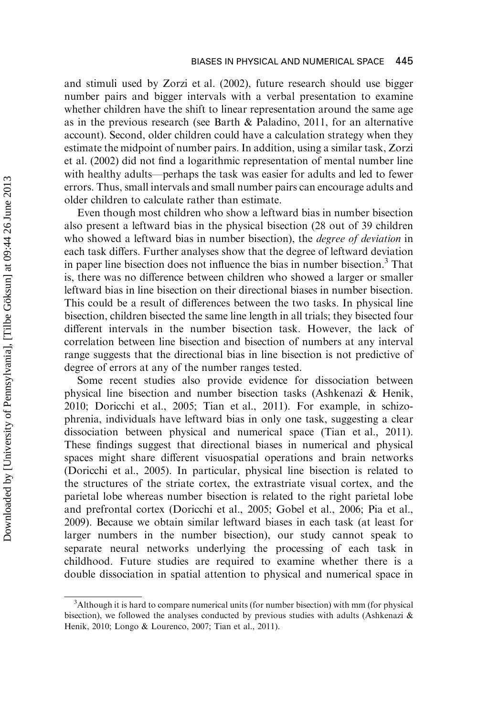and stimuli used by Zorzi et al. (2002), future research should use bigger number pairs and bigger intervals with a verbal presentation to examine whether children have the shift to linear representation around the same age as in the previous research (see Barth & Paladino, 2011, for an alternative account). Second, older children could have a calculation strategy when they estimate the midpoint of number pairs. In addition, using a similar task, Zorzi et al. (2002) did not find a logarithmic representation of mental number line with healthy adults—perhaps the task was easier for adults and led to fewer errors. Thus, small intervals and small number pairs can encourage adults and older children to calculate rather than estimate.

Even though most children who show a leftward bias in number bisection also present a leftward bias in the physical bisection (28 out of 39 children who showed a leftward bias in number bisection), the *degree of deviation* in each task differs. Further analyses show that the degree of leftward deviation in paper line bisection does not influence the bias in number bisection.<sup>3</sup> That is, there was no difference between children who showed a larger or smaller leftward bias in line bisection on their directional biases in number bisection. This could be a result of differences between the two tasks. In physical line bisection, children bisected the same line length in all trials; they bisected four different intervals in the number bisection task. However, the lack of correlation between line bisection and bisection of numbers at any interval range suggests that the directional bias in line bisection is not predictive of degree of errors at any of the number ranges tested.

Some recent studies also provide evidence for dissociation between physical line bisection and number bisection tasks (Ashkenazi & Henik, 2010; Doricchi et al., 2005; Tian et al., 2011). For example, in schizophrenia, individuals have leftward bias in only one task, suggesting a clear dissociation between physical and numerical space (Tian et al., 2011). These findings suggest that directional biases in numerical and physical spaces might share different visuospatial operations and brain networks (Doricchi et al., 2005). In particular, physical line bisection is related to the structures of the striate cortex, the extrastriate visual cortex, and the parietal lobe whereas number bisection is related to the right parietal lobe and prefrontal cortex (Doricchi et al., 2005; Gobel et al., 2006; Pia et al., 2009). Because we obtain similar leftward biases in each task (at least for larger numbers in the number bisection), our study cannot speak to separate neural networks underlying the processing of each task in childhood. Future studies are required to examine whether there is a double dissociation in spatial attention to physical and numerical space in

<sup>&</sup>lt;sup>3</sup>Although it is hard to compare numerical units (for number bisection) with mm (for physical bisection), we followed the analyses conducted by previous studies with adults (Ashkenazi & Henik, 2010; Longo & Lourenco, 2007; Tian et al., 2011).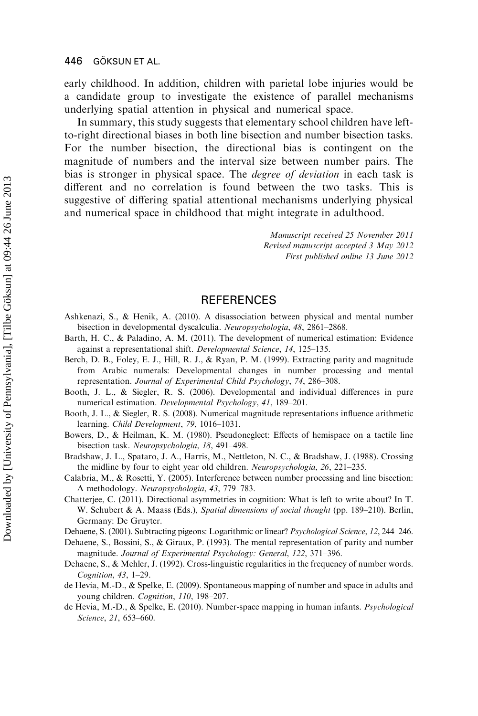early childhood. In addition, children with parietal lobe injuries would be a candidate group to investigate the existence of parallel mechanisms underlying spatial attention in physical and numerical space.

In summary, this study suggests that elementary school children have leftto-right directional biases in both line bisection and number bisection tasks. For the number bisection, the directional bias is contingent on the magnitude of numbers and the interval size between number pairs. The bias is stronger in physical space. The degree of deviation in each task is different and no correlation is found between the two tasks. This is suggestive of differing spatial attentional mechanisms underlying physical and numerical space in childhood that might integrate in adulthood.

> Manuscript received 25 November 2011 Revised manuscript accepted 3 May 2012 First published online 13 June 2012

## **REFERENCES**

- Ashkenazi, S., & Henik, A. (2010). A disassociation between physical and mental number bisection in developmental dyscalculia. Neuropsychologia, 48, 2861–2868.
- Barth, H. C., & Paladino, A. M. (2011). The development of numerical estimation: Evidence against a representational shift. Developmental Science, 14, 125–135.
- Berch, D. B., Foley, E. J., Hill, R. J., & Ryan, P. M. (1999). Extracting parity and magnitude from Arabic numerals: Developmental changes in number processing and mental representation. Journal of Experimental Child Psychology, 74, 286–308.
- Booth, J. L., & Siegler, R. S. (2006). Developmental and individual differences in pure numerical estimation. Developmental Psychology, 41, 189–201.
- Booth, J. L., & Siegler, R. S. (2008). Numerical magnitude representations influence arithmetic learning. Child Development, 79, 1016–1031.
- Bowers, D., & Heilman, K. M. (1980). Pseudoneglect: Effects of hemispace on a tactile line bisection task. Neuropsychologia, 18, 491–498.
- Bradshaw, J. L., Spataro, J. A., Harris, M., Nettleton, N. C., & Bradshaw, J. (1988). Crossing the midline by four to eight year old children. Neuropsychologia, 26, 221–235.
- Calabria, M., & Rosetti, Y. (2005). Interference between number processing and line bisection: A methodology. Neuropsychologia, 43, 779–783.
- Chatterjee, C. (2011). Directional asymmetries in cognition: What is left to write about? In T. W. Schubert & A. Maass (Eds.), Spatial dimensions of social thought (pp. 189–210). Berlin, Germany: De Gruyter.
- Dehaene, S. (2001). Subtracting pigeons: Logarithmic or linear? Psychological Science, 12, 244–246.
- Dehaene, S., Bossini, S., & Giraux, P. (1993). The mental representation of parity and number magnitude. Journal of Experimental Psychology: General, 122, 371–396.
- Dehaene, S., & Mehler, J. (1992). Cross-linguistic regularities in the frequency of number words. Cognition, 43, 1–29.
- de Hevia, M.-D., & Spelke, E. (2009). Spontaneous mapping of number and space in adults and young children. Cognition, 110, 198–207.
- de Hevia, M.-D., & Spelke, E. (2010). Number-space mapping in human infants. Psychological Science, 21, 653–660.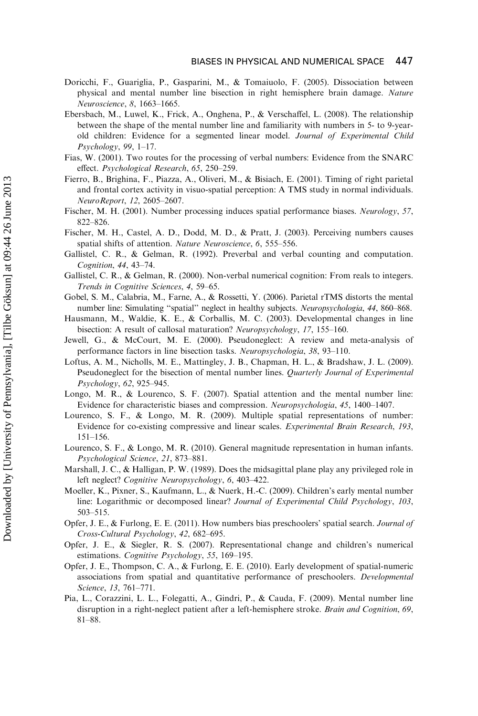- Doricchi, F., Guariglia, P., Gasparini, M., & Tomaiuolo, F. (2005). Dissociation between physical and mental number line bisection in right hemisphere brain damage. Nature Neuroscience, 8, 1663–1665.
- Ebersbach, M., Luwel, K., Frick, A., Onghena, P., & Verschaffel, L. (2008). The relationship between the shape of the mental number line and familiarity with numbers in 5- to 9-yearold children: Evidence for a segmented linear model. Journal of Experimental Child Psychology, 99, 1–17.
- Fias, W. (2001). Two routes for the processing of verbal numbers: Evidence from the SNARC effect. Psychological Research, 65, 250–259.
- Fierro, B., Brighina, F., Piazza, A., Oliveri, M., & Bisiach, E. (2001). Timing of right parietal and frontal cortex activity in visuo-spatial perception: A TMS study in normal individuals. NeuroReport, 12, 2605–2607.
- Fischer, M. H. (2001). Number processing induces spatial performance biases. Neurology, 57, 822–826.
- Fischer, M. H., Castel, A. D., Dodd, M. D., & Pratt, J. (2003). Perceiving numbers causes spatial shifts of attention. Nature Neuroscience, 6, 555–556.
- Gallistel, C. R., & Gelman, R. (1992). Preverbal and verbal counting and computation. Cognition, 44, 43–74.
- Gallistel, C. R., & Gelman, R. (2000). Non-verbal numerical cognition: From reals to integers. Trends in Cognitive Sciences, 4, 59–65.
- Gobel, S. M., Calabria, M., Farne, A., & Rossetti, Y. (2006). Parietal rTMS distorts the mental number line: Simulating "spatial" neglect in healthy subjects. Neuropsychologia, 44, 860-868.
- Hausmann, M., Waldie, K. E., & Corballis, M. C. (2003). Developmental changes in line bisection: A result of callosal maturation? Neuropsychology, 17, 155–160.
- Jewell, G., & McCourt, M. E. (2000). Pseudoneglect: A review and meta-analysis of performance factors in line bisection tasks. Neuropsychologia, 38, 93–110.
- Loftus, A. M., Nicholls, M. E., Mattingley, J. B., Chapman, H. L., & Bradshaw, J. L. (2009). Pseudoneglect for the bisection of mental number lines. Quarterly Journal of Experimental Psychology, 62, 925–945.
- Longo, M. R., & Lourenco, S. F. (2007). Spatial attention and the mental number line: Evidence for characteristic biases and compression. Neuropsychologia, 45, 1400–1407.
- Lourenco, S. F., & Longo, M. R. (2009). Multiple spatial representations of number: Evidence for co-existing compressive and linear scales. Experimental Brain Research, 193, 151–156.
- Lourenco, S. F., & Longo, M. R. (2010). General magnitude representation in human infants. Psychological Science, 21, 873–881.
- Marshall, J. C., & Halligan, P. W. (1989). Does the midsagittal plane play any privileged role in left neglect? Cognitive Neuropsychology, 6, 403–422.
- Moeller, K., Pixner, S., Kaufmann, L., & Nuerk, H.-C. (2009). Children's early mental number line: Logarithmic or decomposed linear? Journal of Experimental Child Psychology, 103, 503–515.
- Opfer, J. E., & Furlong, E. E. (2011). How numbers bias preschoolers' spatial search. *Journal of* Cross-Cultural Psychology, 42, 682–695.
- Opfer, J. E., & Siegler, R. S. (2007). Representational change and children's numerical estimations. Cognitive Psychology, 55, 169–195.
- Opfer, J. E., Thompson, C. A., & Furlong, E. E. (2010). Early development of spatial-numeric associations from spatial and quantitative performance of preschoolers. Developmental Science, 13, 761–771.
- Pia, L., Corazzini, L. L., Folegatti, A., Gindri, P., & Cauda, F. (2009). Mental number line disruption in a right-neglect patient after a left-hemisphere stroke. Brain and Cognition, 69, 81–88.